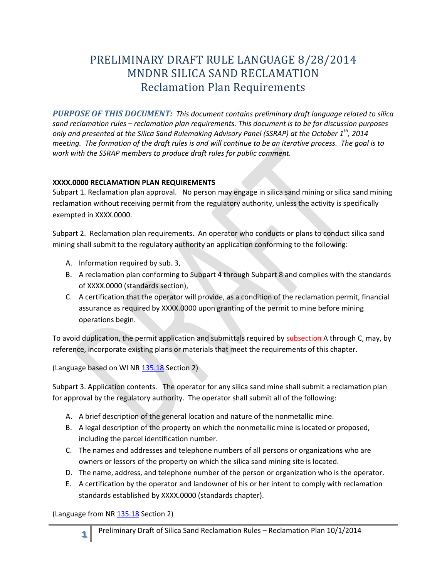## PRELIMINARY DRAFT RULE LANGUAGE 8/28/2014 MNDNR SILICA SAND RECLAMATION Reclamation Plan Requirements

 *PURPOSE OF THIS DOCUMENT: This document contains preliminary draft language related to silica meeting. The formation of the draft rules is and will continue to be an iterative process. The goal is to sand reclamation rules – reclamation plan requirements. This document is to be for discussion purposes only and presented at the Silica Sand Rulemaking Advisory Panel (SSRAP) at the October 1th, 2014 work with the SSRAP members to produce draft rules for public comment.* 

## **XXXX.0000 RECLAMATION PLAN REQUIREMENTS**

 Subpart 1. Reclamation plan approval. No person may engage in silica sand mining or silica sand mining reclamation without receiving permit from the regulatory authority, unless the activity is specifically exempted in XXXX.0000.

Subpart 2. Reclamation plan requirements. An operator who conducts or plans to conduct silica sand mining shall submit to the regulatory authority an application conforming to the following:

- A. Information required by sub. 3,
- B. A reclamation plan conforming to Subpart 4 through Subpart 8 and complies with the standards of XXXX.0000 (standards section),
- C. A certification that the operator will provide, as a condition of the reclamation permit, financial assurance as required by XXXX.0000 upon granting of the permit to mine before mining operations begin.

To avoid duplication, the permit application and submittals required by subsection A through C, may, by reference, incorporate existing plans or materials that meet the requirements of this chapter.

(Language based on WI NR 135.18 Section 2)

 Subpart 3. Application contents. The operator for any silica sand mine shall submit a reclamation plan for approval by the regulatory authority. The operator shall submit all of the following:

- A. A brief description of the general location and nature of the nonmetallic mine.
- including the parcel identification number. B. A legal description of the property on which the nonmetallic mine is located or proposed,
- C. The names and addresses and telephone numbers of all persons or organizations who are owners or lessors of the property on which the silica sand mining site is located.
- D. The name, address, and telephone number of the person or organization who is the operator.
- E. A certification by the operator and landowner of his or her intent to comply with reclamation standards established by XXXX.0000 (standards chapter).

(Language from NR 135.18 Section 2)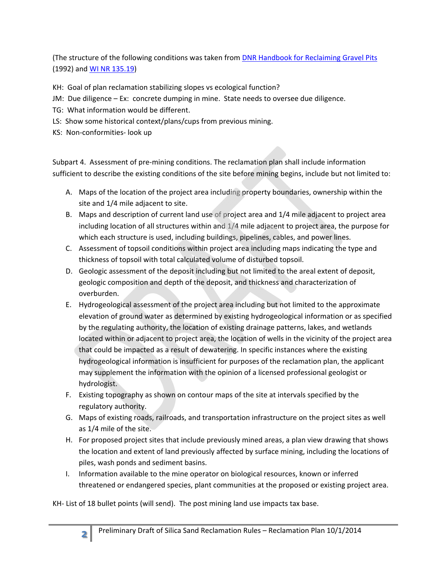(The structure of the following conditions was taken from DNR Handbook for Reclaiming Gravel Pits (1992) and WI NR 135.19)

KH: Goal of plan reclamation stabilizing slopes vs ecological function?

- JM: Due diligence Ex: concrete dumping in mine. State needs to oversee due diligence.
- TG: What information would be different.
- LS: Show some historical context/plans/cups from previous mining.
- KS: Non-conformities- look up

Subpart 4. Assessment of pre-mining conditions. The reclamation plan shall include information sufficient to describe the existing conditions of the site before mining begins, include but not limited to:

- A. Maps of the location of the project area including property boundaries, ownership within the site and 1/4 mile adjacent to site.
- B. Maps and description of current land use of project area and 1/4 mile adjacent to project area including location of all structures within and 1/4 mile adjacent to project area, the purpose for which each structure is used, including buildings, pipelines, cables, and power lines.
- C. Assessment of topsoil conditions within project area including maps indicating the type and thickness of topsoil with total calculated volume of disturbed topsoil.
- D. Geologic assessment of the deposit including but not limited to the areal extent of deposit, geologic composition and depth of the deposit, and thickness and characterization of overburden.
- hydrologist. E. Hydrogeological assessment of the project area including but not limited to the approximate elevation of ground water as determined by existing hydrogeological information or as specified by the regulating authority, the location of existing drainage patterns, lakes, and wetlands located within or adjacent to project area, the location of wells in the vicinity of the project area that could be impacted as a result of dewatering. In specific instances where the existing hydrogeological information is insufficient for purposes of the reclamation plan, the applicant may supplement the information with the opinion of a licensed professional geologist or
- F. Existing topography as shown on contour maps of the site at intervals specified by the regulatory authority.
- G. Maps of existing roads, railroads, and transportation infrastructure on the project sites as well as 1/4 mile of the site.
- H. For proposed project sites that include previously mined areas, a plan view drawing that shows the location and extent of land previously affected by surface mining, including the locations of piles, wash ponds and sediment basins.
- I. Information available to the mine operator on biological resources, known or inferred threatened or endangered species, plant communities at the proposed or existing project area.

KH- List of 18 bullet points (will send). The post mining land use impacts tax base.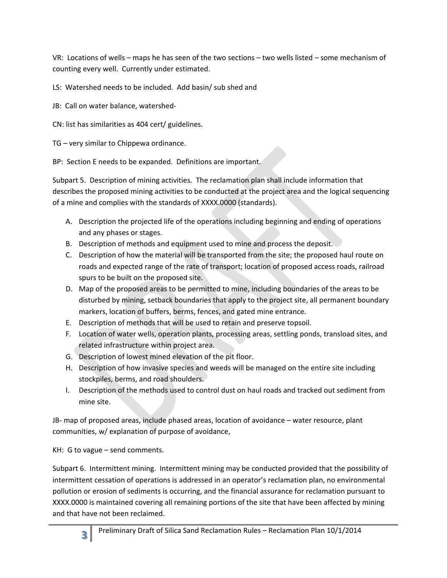VR: Locations of wells – maps he has seen of the two sections – two wells listed – some mechanism of counting every well. Currently under estimated.

LS: Watershed needs to be included. Add basin/ sub shed and

- JB: Call on water balance, watershed-
- CN: list has similarities as 404 cert/ guidelines.

TG – very similar to Chippewa ordinance.

BP: Section E needs to be expanded. Definitions are important.

Subpart 5. Description of mining activities. The reclamation plan shall include information that describes the proposed mining activities to be conducted at the project area and the logical sequencing of a mine and complies with the standards of XXXX.0000 (standards).

- A. Description the projected life of the operations including beginning and ending of operations and any phases or stages.
- B. Description of methods and equipment used to mine and process the deposit.
- Description of how the material will be transported from the site; the proposed haul route on C. roads and expected range of the rate of transport; location of proposed access roads, railroad spurs to be built on the proposed site.
- Map of the proposed areas to be permitted to mine, including boundaries of the areas to be D. disturbed by mining, setback boundaries that apply to the project site, all permanent boundary markers, location of buffers, berms, fences, and gated mine entrance.
- Description of methods that will be used to retain and preserve topsoil. E.
- F. Location of water wells, operation plants, processing areas, settling ponds, transload sites, and related infrastructure within project area.
- G. Description of lowest mined elevation of the pit floor.
- H. Description of how invasive species and weeds will be managed on the entire site including stockpiles, berms, and road shoulders.
- Description of the methods used to control dust on haul roads and tracked out sediment from I. mine site.

JB- map of proposed areas, include phased areas, location of avoidance – water resource, plant communities, w/ explanation of purpose of avoidance,

KH: G to vague – send comments.

Subpart 6. Intermittent mining. Intermittent mining may be conducted provided that the possibility of intermittent cessation of operations is addressed in an operator's reclamation plan, no environmental pollution or erosion of sediments is occurring, and the financial assurance for reclamation pursuant to XXXX.0000 is maintained covering all remaining portions of the site that have been affected by mining and that have not been reclaimed.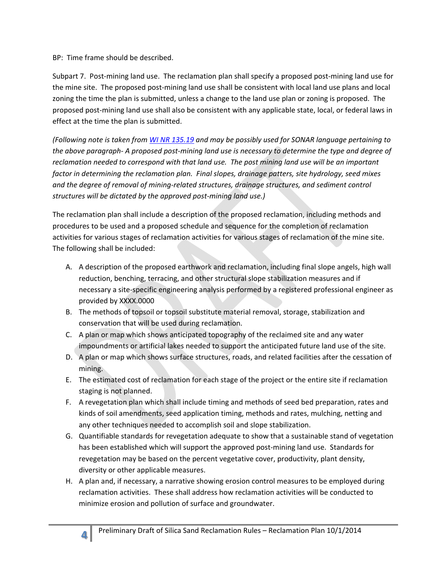BP: Time frame should be described.

 Subpart 7. Post-mining land use. The reclamation plan shall specify a proposed post-mining land use for zoning the time the plan is submitted, unless a change to the land use plan or zoning is proposed. The the mine site. The proposed post-mining land use shall be consistent with local land use plans and local proposed post-mining land use shall also be consistent with any applicable state, local, or federal laws in effect at the time the plan is submitted.

*(Following note is taken from WI NR 135.19 and may be possibly used for SONAR language pertaining to the above paragraph- A proposed post-mining land use is necessary to determine the type and degree of reclamation needed to correspond with that land use. The post mining land use will be an important factor in determining the reclamation plan. Final slopes, drainage patters, site hydrology, seed mixes and the degree of removal of mining-related structures, drainage structures, and sediment control structures will be dictated by the approved post-mining land use.)* 

activities for various stages of reclamation activities for various stages of reclamation of the mine site. The following shall be included: The reclamation plan shall include a description of the proposed reclamation, including methods and procedures to be used and a proposed schedule and sequence for the completion of reclamation

- A. A description of the proposed earthwork and reclamation, including final slope angels, high wall reduction, benching, terracing, and other structural slope stabilization measures and if necessary a site-specific engineering analysis performed by a registered professional engineer as provided by XXXX.0000
- B. The methods of topsoil or topsoil substitute material removal, storage, stabilization and conservation that will be used during reclamation.
- C. A plan or map which shows anticipated topography of the reclaimed site and any water impoundments or artificial lakes needed to support the anticipated future land use of the site.
- D. A plan or map which shows surface structures, roads, and related facilities after the cessation of mining.
- staging is not planned. E. The estimated cost of reclamation for each stage of the project or the entire site if reclamation
- F. A revegetation plan which shall include timing and methods of seed bed preparation, rates and kinds of soil amendments, seed application timing, methods and rates, mulching, netting and any other techniques needed to accomplish soil and slope stabilization.
- G. Quantifiable standards for revegetation adequate to show that a sustainable stand of vegetation has been established which will support the approved post-mining land use. Standards for revegetation may be based on the percent vegetative cover, productivity, plant density, diversity or other applicable measures.
- H. A plan and, if necessary, a narrative showing erosion control measures to be employed during reclamation activities. These shall address how reclamation activities will be conducted to minimize erosion and pollution of surface and groundwater.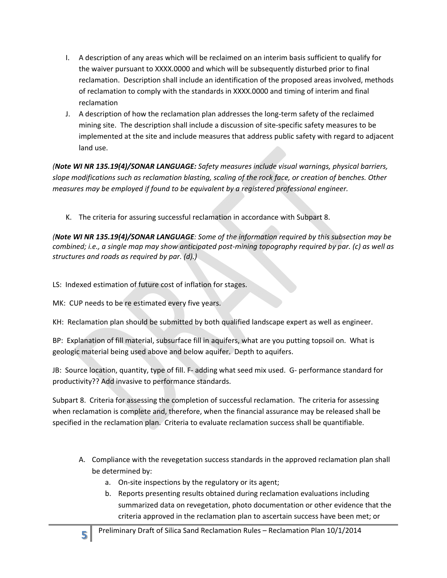- reclamation. Description shall include an identification of the proposed areas involved, methods I. A description of any areas which will be reclaimed on an interim basis sufficient to qualify for the waiver pursuant to XXXX.0000 and which will be subsequently disturbed prior to final of reclamation to comply with the standards in XXXX.0000 and timing of interim and final reclamation
- J. A description of how the reclamation plan addresses the long-term safety of the reclaimed mining site. The description shall include a discussion of site-specific safety measures to be implemented at the site and include measures that address public safety with regard to adjacent land use.

*(Note WI NR 135.19(4)/SONAR LANGUAGE: Safety measures include visual warnings, physical barriers, slope modifications such as reclamation blasting, scaling of the rock face, or creation of benches. Other measures may be employed if found to be equivalent by a registered professional engineer.* 

K. The criteria for assuring successful reclamation in accordance with Subpart 8.

*(Note WI NR 135.19(4)/SONAR LANGUAGE: Some of the information required by this subsection may be combined; i.e., a single map may show anticipated post-mining topography required by par. (c) as well as structures and roads as required by par. (d).)* 

LS: Indexed estimation of future cost of inflation for stages.

MK: CUP needs to be re estimated every five years.

KH: Reclamation plan should be submitted by both qualified landscape expert as well as engineer.

BP: Explanation of fill material, subsurface fill in aquifers, what are you putting topsoil on. What is geologic material being used above and below aquifer. Depth to aquifers.

JB: Source location, quantity, type of fill. F- adding what seed mix used. G- performance standard for productivity?? Add invasive to performance standards.

Subpart 8. Criteria for assessing the completion of successful reclamation. The criteria for assessing when reclamation is complete and, therefore, when the financial assurance may be released shall be specified in the reclamation plan. Criteria to evaluate reclamation success shall be quantifiable.

- A. Compliance with the revegetation success standards in the approved reclamation plan shall be determined by:
	- a. On-site inspections by the regulatory or its agent;
	- b. Reports presenting results obtained during reclamation evaluations including summarized data on revegetation, photo documentation or other evidence that the criteria approved in the reclamation plan to ascertain success have been met; or